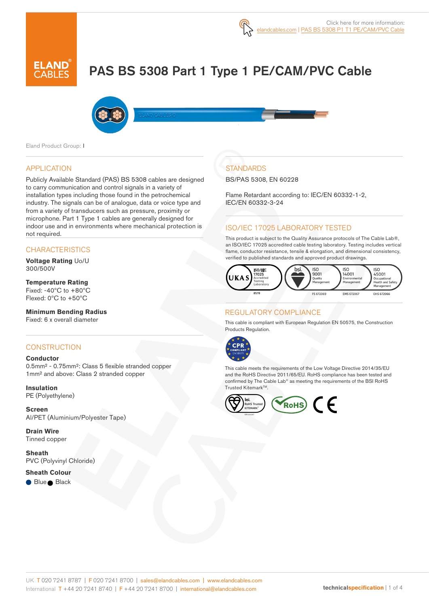# PAS BS 5308 Part 1 Type 1 PE/CAM/PVC Cable



Eland Product Group: I

#### APPLICATION

Publicly Available Standard (PAS) BS 5308 cables are designed to carry communication and control signals in a variety of installation types including those found in the petrochemical industry. The signals can be of analogue, data or voice type and from a variety of transducers such as pressure, proximity or microphone. Part 1 Type 1 cables are generally designed for indoor use and in environments where mechanical protection is not required.

#### **CHARACTERISTICS**

**Voltage Rating** Uo/U 300/500V

### **Temperature Rating**

Fixed:  $-40^{\circ}$ C to  $+80^{\circ}$ C Flexed: 0ºC to +50ºC

#### **Minimum Bending Radius**

Fixed: 6 x overall diameter

#### **CONSTRUCTION**

#### **Conductor**

0.5mm² - 0.75mm²: Class 5 flexible stranded copper 1mm² and above: Class 2 stranded copper

#### **Insulation** PE (Polyethylene)

**Screen** Al/PET (Aluminium/Polyester Tape)

**Drain Wire** Tinned copper

**Sheath** PVC (Polyvinyl Chloride)

#### **Sheath Colour**

Blue Black

## **STANDARDS**

BS/PAS 5308, EN 60228

Flame Retardant according to: IEC/EN 60332-1-2, IEC/EN 60332-3-24

### ISO/IEC 17025 LABORATORY TESTED

This product is subject to the Quality Assurance protocols of The Cable Lab®, an ISO/IEC 17025 accredited cable testing laboratory. Testing includes vertical flame, conductor resistance, tensile & elongation, and dimensional consistency, verified to published standards and approved product drawings.



#### REGULATORY COMPLIANCE

This cable is compliant with European Regulation EN 50575, the Construction Products Regulation.



This cable meets the requirements of the Low Voltage Directive 2014/35/EU and the RoHS Directive 2011/65/EU. RoHS compliance has been tested and confirmed by The Cable Lab® as meeting the requirements of the BSI RoHS Trusted Kitemark™.

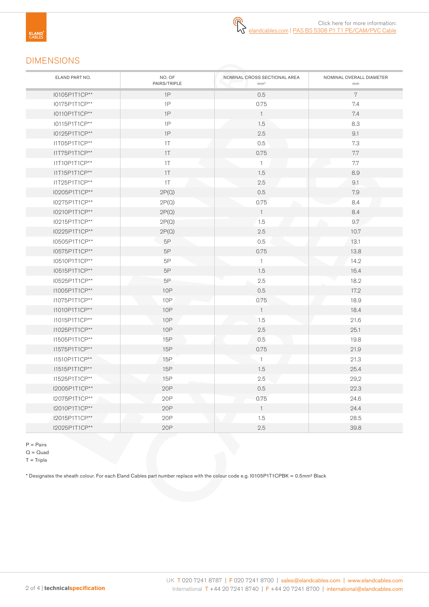### DIMENSIONS

| ELAND PART NO. | NO. OF<br>PAIRS/TRIPLE | NOMINAL CROSS SECTIONAL AREA<br>mm <sup>2</sup> | NOMINAL OVERALL DIAMETER<br>mm |
|----------------|------------------------|-------------------------------------------------|--------------------------------|
| I0105P1T1CP**  | 1P                     | 0.5                                             | 7                              |
| I0175P1T1CP**  | 1P                     | 0.75                                            | 7.4                            |
| I0110P1T1CP**  | 1P                     | $\overline{1}$                                  | 7.4                            |
| I0115P1T1CP**  | 1P                     | 1.5                                             | 8.3                            |
| I0125P1T1CP**  | 1P                     | 2.5                                             | 9.1                            |
| I1T05P1T1CP**  | 1T                     | 0.5                                             | 7.3                            |
| I1T75P1T1CP**  | 1T                     | 0.75                                            | 7.7                            |
| I1T10P1T1CP**  | $1\top$                | $\mathbf{1}$                                    | $7.7\,$                        |
| I1T15P1T1CP**  | $1\top$                | 1.5                                             | 8.9                            |
| I1T25P1T1CP**  | $1\top$                | 2.5                                             | 9.1                            |
| I0205P1T1CP**  | 2P(Q)                  | 0.5                                             | 7.9                            |
| I0275P1T1CP**  | 2P(Q)                  | 0.75                                            | 8.4                            |
| I0210P1T1CP**  | 2P(Q)                  | $\overline{1}$                                  | 8.4                            |
| I0215P1T1CP**  | 2P(Q)                  | 1.5                                             | 9.7                            |
| I0225P1T1CP**  | 2P(Q)                  | 2.5                                             | 10.7                           |
| I0505P1T1CP**  | $5\mathsf{P}$          | 0.5                                             | 13.1                           |
| I0575P1T1CP**  | $5\mathsf{P}$          | 0.75                                            | 13.8                           |
| I0510P1T1CP**  | $5\mathsf{P}$          | $\overline{1}$                                  | 14.2                           |
| I0515P1T1CP**  | 5P                     | 1.5                                             | 16.4                           |
| I0525P1T1CP**  | 5P                     | $2.5\,$                                         | 18.2                           |
| I1005P1T1CP**  | <b>10P</b>             | 0.5                                             | 17.2                           |
| I1075P1T1CP**  | 10 <sub>P</sub>        | 0.75                                            | 18.9                           |
| I1010P1T1CP**  | 10P                    | $\overline{1}$                                  | 18.4                           |
| I1015P1T1CP**  | 10P                    | 1.5                                             | 21.6                           |
| I1025P1T1CP**  | <b>10P</b>             | 2.5                                             | 25.1                           |
| I1505P1T1CP**  | 15P                    | 0.5                                             | 19.8                           |
| I1575P1T1CP**  | <b>15P</b>             | 0.75                                            | 21.9                           |
| I1510P1T1CP**  | 15P                    | $\mathbf{1}$                                    | 21.3                           |
| I1515P1T1CP**  | 15P                    | 1.5                                             | 25.4                           |
| I1525P1T1CP**  | 15P                    | 2.5                                             | 29,2                           |
| I2005P1T1CP**  | 20P                    | 0.5                                             | 22.3                           |
| I2075P1T1CP**  | 20P                    | 0.75                                            | 24.6                           |
| I2010P1T1CP**  | 20P                    | $\overline{1}$                                  | 24.4                           |
| I2015P1T1CP**  | 20P                    | 1.5                                             | 28.5                           |
| I2025P1T1CP**  | 20P                    | 2.5                                             | 39.8                           |

P = Pairs

 $Q = Quad$ 

 $T =$ Triple

\* Designates the sheath colour. For each Eland Cables part number replace with the colour code e.g. I0105P1T1CPBK = 0.5mm² Black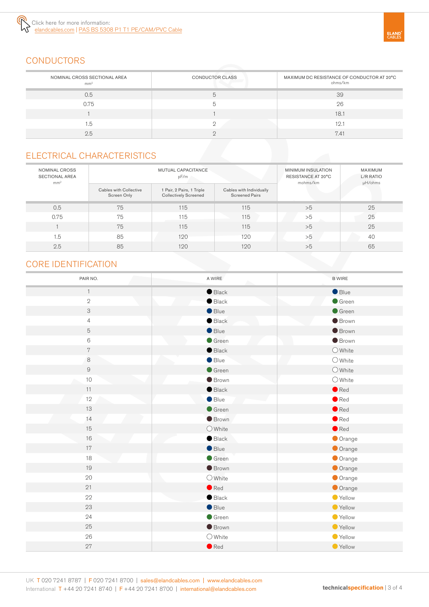

## **CONDUCTORS**

| NOMINAL CROSS SECTIONAL AREA<br>mm <sup>2</sup> | <b>CONDUCTOR CLASS</b> | MAXIMUM DC RESISTANCE OF CONDUCTOR AT 20°C<br>ohms/km |
|-------------------------------------------------|------------------------|-------------------------------------------------------|
| 0.5                                             |                        | 39                                                    |
| 0.75                                            |                        | 26                                                    |
|                                                 |                        | 18.1                                                  |
| 1.5                                             |                        | 12.1                                                  |
| 2.5                                             |                        | 7.41                                                  |

### ELECTRICAL CHARACTERISTICS

| NOMINAL CROSS<br><b>SECTIONAL AREA</b><br>mm <sup>2</sup> | <b>MUTUAL CAPACITANCE</b><br>pF/m     |                                                           | MINIMUM INSULATION<br>RESISTANCE AT 20°C<br>mohms/km | MAXIMUM<br>L/R RATIO<br>µH/ohms |    |
|-----------------------------------------------------------|---------------------------------------|-----------------------------------------------------------|------------------------------------------------------|---------------------------------|----|
|                                                           | Cables with Collective<br>Screen Only | 1 Pair, 2 Pairs, 1 Triple<br><b>Collectively Screened</b> | Cables with Individually<br><b>Screened Pairs</b>    |                                 |    |
| 0.5                                                       | 75                                    | 115                                                       | 115                                                  | >5                              | 25 |
| 0.75                                                      | 75                                    | 115                                                       | 115                                                  | >5                              | 25 |
|                                                           | 75                                    | 115                                                       | 115                                                  | >5                              | 25 |
| 1.5                                                       | 85                                    | 120                                                       | 120                                                  | >5                              | 40 |
| 2.5                                                       | 85                                    | 120                                                       | 120                                                  | >5                              | 65 |

### CORE IDENTIFICATION

| PAIR NO.       | A WIRE           | <b>B WIRE</b>    |
|----------------|------------------|------------------|
| $\mathbf{1}$   | $\bullet$ Black  | Blue             |
| $\sqrt{2}$     | $\bullet$ Black  | $\bullet$ Green  |
| 3              | $\bullet$ Blue   | Green            |
| $\overline{4}$ | $\bullet$ Black  | <b>Brown</b>     |
| 5              | $\bullet$ Blue   | <b>Brown</b>     |
| $\,6\,$        | Green            | <b>Brown</b>     |
| $\,7$          | $\bullet$ Black  | $O$ White        |
| $\,8\,$        | $\bullet$ Blue   | $\bigcirc$ White |
| $\hbox{9}$     | $\bullet$ Green  | $\bigcirc$ White |
| $10$           | <b>Brown</b>     | $\bigcirc$ White |
| 11             | $\bullet$ Black  | $\bullet$ Red    |
| 12             | $\bullet$ Blue   | $\bullet$ Red    |
| 13             | $\bullet$ Green  | $\bullet$ Red    |
| 14             | <b>Brown</b>     | $\bullet$ Red    |
| 15             | $\bigcirc$ White | $\bullet$ Red    |
| 16             | $\bullet$ Black  | Orange           |
| 17             | $\bullet$ Blue   | Orange           |
| 18             | $\bullet$ Green  | Orange           |
| 19             | <b>Brown</b>     | Orange           |
| 20             | $\bigcirc$ White | Orange           |
| 21             | $\bullet$ Red    | Orange           |
| 22             | $\bullet$ Black  | Yellow           |
| 23             | $\bullet$ Blue   | ● Yellow         |
| 24             | $\bullet$ Green  | Yellow           |
| 25             | <b>Brown</b>     | ● Yellow         |
| 26             | $\bigcirc$ White | ● Yellow         |
| 27             | $\bullet$ Red    | ● Yellow         |